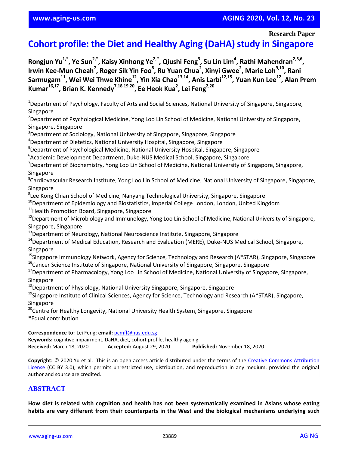# **www.aging-us.com AGING 2020, Vol. 12, No. 23**

**Research Paper**

# **Cohort profile: the Diet and Healthy Aging (DaHA) study in Singapore**

**Rongjun Yu1,\*, Ye Sun2,\*, Kaisy Xinhong Ye2,\*, Qiushi Feng<sup>3</sup> , Su Lin Lim<sup>4</sup> , Rathi Mahendran2,5,6 ,**  Irwin Kee-Mun Cheah<sup>7</sup>, Roger Sik Yin Foo<sup>8</sup>, Ru Yuan Chua<sup>2</sup>, Xinyi Gwee<sup>2</sup>, Marie Loh<sup>9,10</sup>, Rani **Sarmugam<sup>11</sup>, Wei Wei Thwe Khine<sup>12</sup>, Yin Xia Chao13,14, Anis Larbi12,15, Yuan Kun Lee<sup>12</sup>, Alan Prem Kumar16,17, Brian K. Kennedy7,18,19,20, Ee Heok Kua<sup>2</sup> , Lei Feng2,20**

<sup>1</sup>Department of Psychology, Faculty of Arts and Social Sciences, National University of Singapore, Singapore, Singapore

<sup>2</sup>Department of Psychological Medicine, Yong Loo Lin School of Medicine, National University of Singapore, Singapore, Singapore

<sup>3</sup>Department of Sociology, National University of Singapore, Singapore, Singapore

<sup>4</sup>Department of Dietetics, National University Hospital, Singapore, Singapore

<sup>5</sup>Department of Psychological Medicine, National University Hospital, Singapore, Singapore

6 Academic Development Department, Duke-NUS Medical School, Singapore, Singapore

<sup>7</sup>Department of Biochemistry, Yong Loo Lin School of Medicine, National University of Singapore, Singapore, Singapore

<sup>8</sup>Cardiovascular Research Institute, Yong Loo Lin School of Medicine, National University of Singapore, Singapore, Singapore

9 Lee Kong Chian School of Medicine, Nanyang Technological University, Singapore, Singapore

<sup>10</sup>Department of Epidemiology and Biostatistics, Imperial College London, London, United Kingdom

<sup>11</sup> Health Promotion Board, Singapore, Singapore

<sup>12</sup>Department of Microbiology and Immunology, Yong Loo Lin School of Medicine, National University of Singapore, Singapore, Singapore

<sup>13</sup>Department of Neurology, National Neuroscience Institute, Singapore, Singapore

<sup>14</sup>Department of Medical Education, Research and Evaluation (MERE), Duke-NUS Medical School, Singapore, Singapore

<sup>15</sup>Singapore Immunology Network, Agency for Science, Technology and Research (A\*STAR), Singapore, Singapore

<sup>16</sup>Cancer Science Institute of Singapore, National University of Singapore, Singapore, Singapore

<sup>17</sup>Department of Pharmacology, Yong Loo Lin School of Medicine, National University of Singapore, Singapore, Singapore

<sup>18</sup>Department of Physiology, National University Singapore, Singapore, Singapore

<sup>19</sup>Singapore Institute of Clinical Sciences, Agency for Science, Technology and Research (A\*STAR), Singapore, Singapore

<sup>20</sup>Centre for Healthy Longevity, National University Health System, Singapore, Singapore

\*Equal contribution

**Correspondence to:** Lei Feng; **email:** pcmfl@nus.edu.sg

**Keywords:** cognitive impairment, DaHA, diet, cohort profile, healthy ageing **Received:** March 18, 2020 **Accepted:** August 29, 2020 **Published:** November 18, 2020

**Copyright:** © 2020 Yu et al. This is an open access article distributed under the terms of the Creative Commons Attribution License (CC BY 3.0), which permits unrestricted use, distribution, and reproduction in any medium, provided the original author and source are credited.

## **ABSTRACT**

**How diet is related with cognition and health has not been systematically examined in Asians whose eating habits are very different from their counterparts in the West and the biological mechanisms underlying such**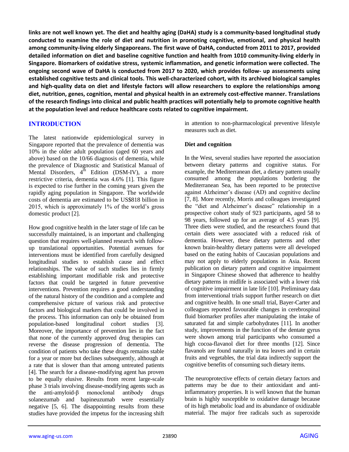links are not well known yet. The diet and healthy aging (DaHA) study is a community-based longitudinal study **conducted to examine the role of diet and nutrition in promoting cognitive, emotional, and physical health among community-living elderly Singaporeans. The first wave of DaHA, conducted from 2011 to 2017, provided detailed information on diet and baseline cognitive function and health from 1010 community-living elderly in Singapore. Biomarkers of oxidative stress, systemic inflammation, and genetic information were collected. The ongoing second wave of DaHA is conducted from 2017 to 2020, which provides follow- up assessments using established cognitive tests and clinical tools. This well-characterized cohort, with its archived biological samples and high-quality data on diet and lifestyle factors will allow researchers to explore the relationships among diet, nutrition, genes, cognition, mental and physical health in an extremely cost-effective manner. Translations** of the research findings into clinical and public health practices will potentially help to promote cognitive health **at the population level and reduce healthcare costs related to cognitive impairment.**

# **INTRODUCTION**

The latest nationwide epidemiological survey in Singapore reported that the prevalence of dementia was 10% in the older adult population (aged 60 years and above) based on the 10/66 diagnosis of dementia, while the prevalence of Diagnostic and Statistical Manual of Mental Disorders,  $4^{\text{th}}$  Edition (DSM-IV), a more restrictive criteria, dementia was 4.6% [1]. This figure is expected to rise further in the coming years given the rapidly aging population in Singapore. The worldwide costs of dementia are estimated to be US\$818 billion in 2015, which is approximately 1% of the world's gross domestic product [2].

How good cognitive health in the later stage of life can be successfully maintained, is an important and challenging question that requires well-planned research with followup translational opportunities. Potential avenues for interventions must be identified from carefully designed longitudinal studies to establish cause and effect relationships. The value of such studies lies in firmly establishing important modifiable risk and protective factors that could be targeted in future preventive interventions. Prevention requires a good understanding of the natural history of the condition and a complete and comprehensive picture of various risk and protective factors and biological markers that could be involved in the process. This information can only be obtained from population-based longitudinal cohort studies [3]. Moreover, the importance of prevention lies in the fact that none of the currently approved drug therapies can reverse the disease progression of dementia. The condition of patients who take these drugs remains stable for a year or more but declines subsequently, although at a rate that is slower than that among untreated patients [4]. The search for a disease-modifying agent has proven to be equally elusive. Results from recent large-scale phase 3 trials involving disease-modifying agents such as the anti-amyloid-β monoclonal antibody drugs solanezumab and bapineuzumab were essentially negative [5, 6]. The disappointing results from these studies have provided the impetus for the increasing shift

in attention to non-pharmacological preventive lifestyle measures such as diet.

## **Diet and cognition**

In the West, several studies have reported the association between dietary patterns and cognitive status. For example, the Mediterranean diet, a dietary pattern usually consumed among the populations bordering the Mediterranean Sea, has been reported to be protective against Alzheimer's disease (AD) and cognitive decline [7, 8]. More recently, Morris and colleagues investigated the "diet and Alzheimer's disease" relationship in a prospective cohort study of 923 participants, aged 58 to 98 years, followed up for an average of 4.5 years [9]. Three diets were studied, and the researchers found that certain diets were associated with a reduced risk of dementia. However, these dietary patterns and other known brain-healthy dietary patterns were all developed based on the eating habits of Caucasian populations and may not apply to elderly populations in Asia. Recent publication on dietary pattern and cognitive impairment in Singapore Chinese showed that adherence to healthy dietary patterns in midlife is associated with a lower risk of cognitive impairment in late life [10]. Preliminary data from interventional trials support further research on diet and cognitive health. In one small trial, Bayer-Carter and colleagues reported favourable changes in cerebrospinal fluid biomarker profiles after manipulating the intake of saturated fat and simple carbohydrates [11]. In another study, improvements in the function of the dentate gyrus were shown among trial participants who consumed a high cocoa-flavanol diet for three months [12]. Since flavanols are found naturally in tea leaves and in certain fruits and vegetables, the trial data indirectly support the cognitive benefits of consuming such dietary items.

The neuroprotective effects of certain dietary factors and patterns may be due to their antioxidant and antiinflammatory properties. It is well known that the human brain is highly susceptible to oxidative damage because of its high metabolic load and its abundance of oxidizable material. The major free radicals such as superoxide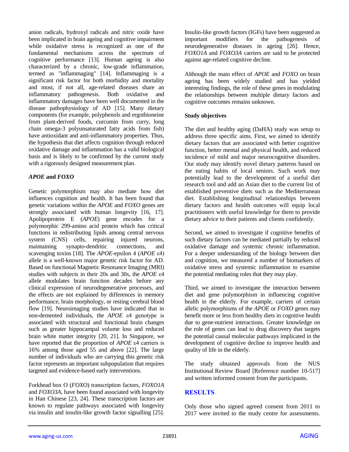anion radicals, hydroxyl radicals and nitric oxide have been implicated in brain ageing and cognitive impairment while oxidative stress is recognized as one of the fundamental mechanisms across the spectrum of cognitive performance [13]. Human ageing is also characterized by a chronic, low-grade inflammation, termed as "inflammaging" [14]. Inflammaging is a significant risk factor for both morbidity and mortality and most, if not all, age-related diseases share an inflammatory pathogenesis. Both oxidative and inflammatory damages have been well documented in the disease pathophysiology of AD [15]. Many dietary components (for example, polyphenols and ergothioneine from plant-derived foods, curcumin from curry, long chain omega-3 polyunsaturated fatty acids from fish) have antioxidant and anti-inflammatory properties. Thus, the hypothesis that diet affects cognition through reduced oxidative damage and inflammation has a valid biological basis and is likely to be confirmed by the current study with a rigorously designed measurement plan.

## *APOE* **and** *FOXO*

Genetic polymorphism may also mediate how diet influences cognition and health. It has been found that genetic variations within the *APOE* and *FOXO* genes are strongly associated with human longevity [16, 17]. Apolipoprotein E (*APOE*) gene encodes for a polymorphic 299-amino acid protein which has critical functions in redistributing lipids among central nervous system (CNS) cells, repairing injured neurons, maintaining synapto-dendritic connections, and scavenging toxins [18]. The *APOE*-epsilon 4 (*APOE* ε4) allele is a well-known major genetic risk factor for AD. Based on functional Magnetic Resonance Imaging (MRI) studies with subjects in their 20s and 30s, the *APOE* ε4 allele modulates brain function decades before any clinical expression of neurodegenerative processes, and the effects are not explained by differences in memory performance, brain morphology, or resting cerebral blood flow [19]. Neuroimaging studies have indicated that in non-demented individuals, the *APOE* ε4 genotype is associated with structural and functional brain changes such as greater hippocampal volume loss and reduced brain white matter integrity [20, 21]. In Singapore, we have reported that the proportion of *APOE* ε4 carriers is 16% among those aged 55 and above [22]. The large number of individuals who are carrying this genetic risk factor represents an important subpopulation that requires targeted and evidence-based early interventions.

Forkhead box O (*FOXO*) transcription factors, *FOXO1A* and *FOXO3A*, have been found associated with longevity in Han Chinese [23, 24]. These transcription factors are known to regulate pathways associated with longevity via insulin and insulin-like growth factor signalling [25]. Insulin-like growth factors (IGFs) have been suggested as important modifiers for the pathogenesis of neurodegenerative diseases in ageing [26]. Hence, *FOXO1A* and *FOXO3A* carriers are said to be protected against age-related cognitive decline.

Although the main effect of *APOE* and *FOXO* on brain ageing has been widely studied and has yielded interesting findings, the role of these genes in modulating the relationships between multiple dietary factors and cognitive outcomes remains unknown.

## **Study objectives**

The diet and healthy aging (DaHA) study was setup to address three specific aims. First, we aimed to identify dietary factors that are associated with better cognitive function, better mental and physical health, and reduced incidence of mild and major neurocognitive disorders. Our study may identify novel dietary patterns based on the eating habits of local seniors. Such work may potentially lead to the development of a useful diet research tool and add an Asian diet to the current list of established preventive diets such as the Mediterranean diet. Establishing longitudinal relationships between dietary factors and health outcomes will equip local practitioners with useful knowledge for them to provide dietary advice to their patients and clients confidently.

Second, we aimed to investigate if cognitive benefits of such dietary factors can be mediated partially by reduced oxidative damage and systemic chronic inflammation. For a deeper understanding of the biology between diet and cognition, we measured a number of biomarkers of oxidative stress and systemic inflammation to examine the potential mediating roles that they may play.

Third, we aimed to investigate the interaction between diet and gene polymorphism in influencing cognitive health in the elderly. For example, carriers of certain allelic polymorphisms of the *APOE* or *FOXO* genes may benefit more or less from healthy diets in cognitive health due to gene-nutrient interactions. Greater knowledge on the role of genes can lead to drug discovery that targets the potential causal molecular pathways implicated in the development of cognitive decline to improve health and quality of life in the elderly.

The study obtained approvals from the NUS Institutional Review Board [Reference number 10-517] and written informed consent from the participants.

# **RESULTS**

Only those who signed agreed consent from 2011 to 2017 were invited to the study centre for assessments.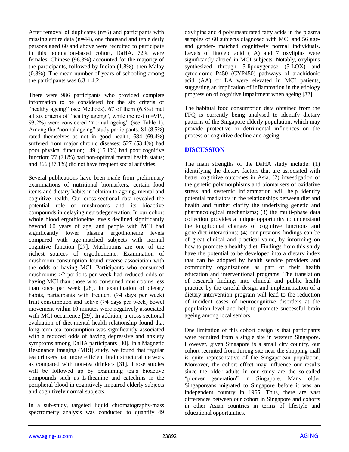After removal of duplicates (n=6) and participants with missing entire data (n=44), one thousand and ten elderly persons aged 60 and above were recruited to participate in this population-based cohort, DaHA. 72% were females. Chinese (96.3%) accounted for the majority of the participants, followed by Indian (1.8%), then Malay (0.8%). The mean number of years of schooling among the participants was  $6.3 \pm 4.2$ .

There were 986 participants who provided complete information to be considered for the six criteria of "healthy ageing" (see Methods). 67 of them (6.8%) met all six criteria of "healthy ageing", while the rest (n=919, 93.2%) were considered "normal ageing" (see Table 1). Among the "normal ageing" study participants, 84 (8.5%) rated themselves as not in good health; 684 (69.4%) suffered from major chronic diseases; 527 (53.4%) had poor physical function; 149 (15.1%) had poor cognitive function; 77 (7.8%) had non-optimal mental health status; and 366 (37.1%) did not have frequent social activities.

Several publications have been made from preliminary examinations of nutritional biomarkers, certain food items and dietary habits in relation to ageing, mental and cognitive health. Our cross-sectional data revealed the potential role of mushrooms and its bioactive compounds in delaying neurodegeneration. In our cohort, whole blood ergothioneine levels declined significantly beyond 60 years of age, and people with MCI had significantly lower plasma ergothioneine levels compared with age-matched subjects with normal cognitive function [27]. Mushrooms are one of the richest sources of ergothioneine. Examination of mushroom consumption found reverse association with the odds of having MCI. Participants who consumed mushrooms >2 portions per week had reduced odds of having MCI than those who consumed mushrooms less than once per week [28]. In examination of dietary habits, participants with frequent  $(≥4$  days per week) fruit consumption and active  $(\geq 4$  days per week) bowel movement within 10 minutes were negatively associated with MCI occurrence [29]. In addition, a cross-sectional evaluation of diet-mental health relationship found that long-term tea consumption was significantly associated with a reduced odds of having depressive and anxiety symptoms among DaHA participants [30]. In a Magnetic Resonance Imaging (MRI) study, we found that regular tea drinkers had more efficient brain structural network as compared with non-tea drinkers [31]. Those studies will be followed up by examining tea's bioactive compounds such as L-theanine and catechins in the peripheral blood in cognitively impaired elderly subjects and cognitively normal subjects.

In a sub-study, targeted liquid chromatography-mass spectrometry analysis was conducted to quantify 49 oxylipins and 4 polyunsaturated fatty acids in the plasma samples of 60 subjects diagnosed with MCI and 56 ageand gender- matched cognitively normal individuals. Levels of linoleic acid (LA) and 7 oxylipins were significantly altered in MCI subjects. Notably, oxylipins synthesized through 5-lipoxygenase (5-LOX) and cytochrome P450 (CYP450) pathways of arachidonic acid (AA) or LA were elevated in MCI patients, suggesting an implication of inflammation in the etiology progression of cognitive impairment when ageing [32].

The habitual food consumption data obtained from the FFQ is currently being analysed to identify dietary patterns of the Singapore elderly population, which may provide protective or detrimental influences on the process of cognitive decline and ageing.

#### **DISCUSSION**

The main strengths of the DaHA study include: (1) identifying the dietary factors that are associated with better cognitive outcomes in Asia. (2) investigation of the genetic polymorphisms and biomarkers of oxidative stress and systemic inflammation will help identify potential mediators in the relationships between diet and health and further clarify the underlying genetic and pharmacological mechanisms; (3) the multi-phase data collection provides a unique opportunity to understand the longitudinal changes of cognitive functions and gene-diet interactions; (4) our previous findings can be of great clinical and practical value, by informing on how to promote a healthy diet. Findings from this study have the potential to be developed into a dietary index that can be adopted by health service providers and community organizations as part of their health education and interventional programs. The translation of research findings into clinical and public health practice by the careful design and implementation of a dietary intervention program will lead to the reduction of incident cases of neurocognitive disorders at the population level and help to promote successful brain ageing among local seniors.

One limitation of this cohort design is that participants were recruited from a single site in western Singapore. However, given Singapore is a small city country, our cohort recruited from Jurong site near the shopping mall is quite representative of the Singaporean population. Moreover, the cohort effect may influence our results since the older adults in our study are the so-called "pioneer generation" in Singapore. Many older Singaporeans migrated to Singapore before it was an independent country in 1965. Thus, there are vast differences between our cohort in Singapore and cohorts in other Asian countries in terms of lifestyle and educational opportunities.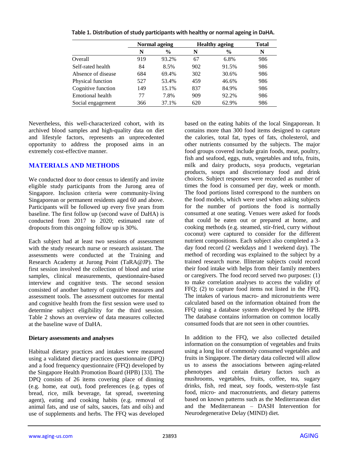|                    | Normal ageing |               | <b>Healthy ageing</b> |       | <b>Total</b> |
|--------------------|---------------|---------------|-----------------------|-------|--------------|
|                    | N             | $\frac{6}{9}$ | N                     | $\%$  | N            |
| Overall            | 919           | 93.2%         | 67                    | 6.8%  | 986          |
| Self-rated health  | 84            | 8.5%          | 902                   | 91.5% | 986          |
| Absence of disease | 684           | 69.4%         | 302                   | 30.6% | 986          |
| Physical function  | 527           | 53.4%         | 459                   | 46.6% | 986          |
| Cognitive function | 149           | 15.1%         | 837                   | 84.9% | 986          |
| Emotional health   | 77            | 7.8%          | 909                   | 92.2% | 986          |
| Social engagement  | 366           | 37.1%         | 620                   | 62.9% | 986          |

**Table 1. Distribution of study participants with healthy or normal ageing in DaHA.**

Nevertheless, this well-characterized cohort, with its archived blood samples and high-quality data on diet and lifestyle factors, represents an unprecedented opportunity to address the proposed aims in an extremely cost-effective manner.

# **MATERIALS AND METHODS**

We conducted door to door census to identify and invite eligible study participants from the Jurong area of Singapore. Inclusion criteria were community-living Singaporean or permanent residents aged 60 and above. Participants will be followed up every five years from baseline. The first follow up (second wave of DaHA) is conducted from 2017 to 2020; estimated rate of dropouts from this ongoing follow up is 30%.

Each subject had at least two sessions of assessment with the study research nurse or research assistant. The assessments were conducted at the Training and Research Academy at Jurong Point (TaRA@JP). The first session involved the collection of blood and urine samples, clinical measurements, questionnaire-based interview and cognitive tests. The second session consisted of another battery of cognitive measures and assessment tools. The assessment outcomes for mental and cognitive health from the first session were used to determine subject eligibility for the third session. Table 2 shows an overview of data measures collected at the baseline wave of DaHA.

#### **Dietary assessments and analyses**

Habitual dietary practices and intakes were measured using a validated dietary practices questionnaire (DPQ) and a food frequency questionnaire (FFQ) developed by the Singapore Health Promotion Board (HPB) [33]. The DPQ consists of 26 items covering place of dinning (e.g. home, eat out), food preferences (e.g. types of bread, rice, milk beverage, fat spread, sweetening agent), eating and cooking habits (e.g. removal of animal fats, and use of salts, sauces, fats and oils) and use of supplements and herbs. The FFQ was developed based on the eating habits of the local Singaporean. It contains more than 300 food items designed to capture the calories, total fat, types of fats, cholesterol, and other nutrients consumed by the subjects. The major food groups covered include grain foods, meat, poultry, fish and seafood, eggs, nuts, vegetables and tofu, fruits, milk and dairy products, soya products, vegetarian products, soups and discretionary food and drink choices. Subject responses were recorded as number of times the food is consumed per day, week or month. The food portions listed correspond to the numbers on the food models, which were used when asking subjects for the number of portions the food is normally consumed at one seating. Venues were asked for foods that could be eaten out or prepared at home, and cooking methods (e.g. steamed, stir-fried, curry without coconut) were captured to consider for the different nutrient compositions. Each subject also completed a 3 day food record (2 weekdays and 1 weekend day). The method of recording was explained to the subject by a trained research nurse. Illiterate subjects could record their food intake with helps from their family members or caregivers. The food record served two purposes: (1) to make correlation analyses to access the validity of FFQ; (2) to capture food items not listed in the FFQ. The intakes of various macro- and micronutrients were calculated based on the information obtained from the FFQ using a database system developed by the HPB. The database contains information on common locally consumed foods that are not seen in other countries.

In addition to the FFQ, we also collected detailed information on the consumption of vegetables and fruits using a long list of commonly consumed vegetables and fruits in Singapore. The dietary data collected will allow us to assess the associations between aging-related phenotypes and certain dietary factors such as mushrooms, vegetables, fruits, coffee, tea, sugary drinks, fish, red meat, soy foods, western-style fast food, micro- and macronutrients, and dietary patterns based on known patterns such as the Mediterranean diet and the Mediterranean – DASH Intervention for Neurodegenerative Delay (MIND) diet.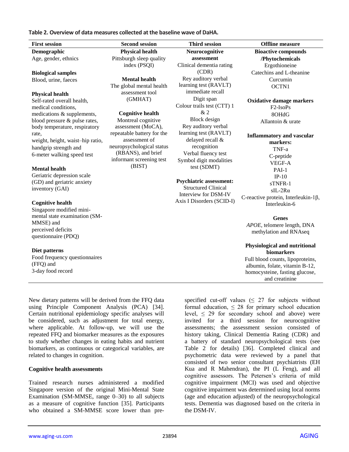**Table 2. Overview of data measures collected at the baseline wave of DaHA.**

| <b>First session</b>             | <b>Second session</b>              | <b>Third session</b>                               | <b>Offline</b> measure                                           |
|----------------------------------|------------------------------------|----------------------------------------------------|------------------------------------------------------------------|
| Demographic                      | <b>Physical health</b>             | Neurocognitive                                     | <b>Bioactive compounds</b>                                       |
| Age, gender, ethnics             | Pittsburgh sleep quality           | assessment                                         | /Phytochemicals                                                  |
|                                  | index (PSQI)                       | Clinical dementia rating                           | Ergothioneine                                                    |
| <b>Biological samples</b>        |                                    | (CDR)                                              | Catechins and L-theanine                                         |
| Blood, urine, faeces             | <b>Mental health</b>               | Rey auditory verbal                                | Curcumin                                                         |
|                                  | The global mental health           | learning test (RAVLT)                              | OCTN1                                                            |
| <b>Physical health</b>           | assessment tool                    | immediate recall                                   |                                                                  |
| Self-rated overall health,       | (GMHAT)                            | Digit span                                         | <b>Oxidative damage markers</b>                                  |
| medical conditions,              |                                    | Colour trails test (CTT) 1                         | F <sub>2</sub> -IsoP <sub>s</sub>                                |
| medications & supplements,       | <b>Cognitive health</b>            | &2                                                 | 8OHdG                                                            |
| blood pressure & pulse rates,    | Montreal cognitive                 | Block design                                       | Allantoin & urate                                                |
| body temperature, respiratory    | assessment (MoCA),                 | Rey auditory verbal                                |                                                                  |
| rate,                            | repeatable battery for the         | learning test (RAVLT)                              | <b>Inflammatory and vascular</b>                                 |
| weight, height, waist-hip ratio, | assessment of                      | delayed recall &                                   | markers:                                                         |
| handgrip strength and            | neuropsychological status          | recognition                                        | TNF-a                                                            |
| 6-meter walking speed test       | (RBANS), and brief                 | Verbal fluency test                                | C-peptide                                                        |
|                                  | informant screening test<br>(BIST) | Symbol digit modalities                            | VEGF-A                                                           |
| <b>Mental health</b>             |                                    | test (SDMT)                                        | PAI-1                                                            |
| Geriatric depression scale       |                                    |                                                    | $IP-10$                                                          |
| (GD) and geriatric anxiety       |                                    | <b>Psychiatric assessment:</b>                     | sTNFR-1                                                          |
| inventory (GAI)                  |                                    | <b>Structured Clinical</b><br>Interview for DSM-IV | $sIL-2Ra$                                                        |
|                                  |                                    | Axis I Disorders (SCID-I)                          | C-reactive protein, Interleukin-1 $\beta$ ,                      |
| <b>Cognitive health</b>          |                                    |                                                    | Interleukin-6                                                    |
| Singapore modified mini-         |                                    |                                                    |                                                                  |
| mental state examination (SM-    |                                    |                                                    | <b>Genes</b>                                                     |
| MMSE) and<br>perceived deficits  |                                    |                                                    | APOE, telomere length, DNA                                       |
| questionnaire (PDQ)              |                                    |                                                    | methylation and RNAseq                                           |
|                                  |                                    |                                                    |                                                                  |
| Diet patterns                    |                                    |                                                    | Physiological and nutritional                                    |
| Food frequency questionnaires    |                                    |                                                    | biomarkers                                                       |
| (FFQ) and                        |                                    |                                                    | Full blood counts, lipoproteins,                                 |
| 3-day food record                |                                    |                                                    | albumin, folate, vitamin B-12,<br>homocysteine, fasting glucose, |
|                                  |                                    |                                                    | and creatinine                                                   |

New dietary patterns will be derived from the FFQ data using Principle Component Analysis (PCA) [34]. Certain nutritional epidemiology specific analyses will be considered, such as adjustment for total energy, where applicable. At follow-up, we will use the repeated FFQ and biomarker measures as the exposures to study whether changes in eating habits and nutrient biomarkers, as continuous or categorical variables, are related to changes in cognition.

#### **Cognitive health assessments**

Trained research nurses administered a modified Singapore version of the original Mini-Mental State Examination (SM-MMSE, range 0–30) to all subjects as a measure of cognitive function [35]. Participants who obtained a SM-MMSE score lower than prespecified cut-off values ( $\leq$  27 for subjects without formal education,  $\leq 28$  for primary school education level,  $\leq$  29 for secondary school and above) were invited for a third session for neurocognitive assessments; the assessment session consisted of history taking, Clinical Dementia Rating (CDR) and a battery of standard neuropsychological tests (see Table 2 for details) [36]. Completed clinical and psychometric data were reviewed by a panel that consisted of two senior consultant psychiatrists (EH Kua and R Mahendran), the PI (L Feng), and all cognitive assessors. The Petersen's criteria of mild cognitive impairment (MCI) was used and objective cognitive impairment was determined using local norms (age and education adjusted) of the neuropsychological tests. Dementia was diagnosed based on the criteria in the DSM-IV.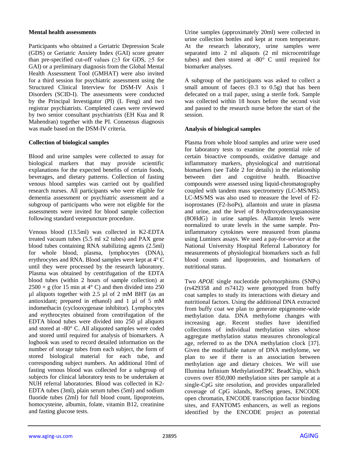#### **Mental health assessments**

Participants who obtained a Geriatric Depression Scale (GDS) or Geriatric Anxiety Index (GAI) score greater than pre-specified cut-off values ( $\geq$ 3 for GDS,  $\geq$ 5 for GAI) or a preliminary diagnosis from the Global Mental Health Assessment Tool (GMHAT) were also invited for a third session for psychiatric assessment using the Structured Clinical Interview for DSM-IV Axis I Disorders (SCID-I). The assessments were conducted by the Principal Investigator (PI) (L Feng) and two registrar psychiatrists. Completed cases were reviewed by two senior consultant psychiatrists (EH Kua and R Mahendran) together with the PI. Consensus diagnosis was made based on the DSM-IV criteria.

## **Collection of biological samples**

Blood and urine samples were collected to assay for biological markers that may provide scientific explanations for the expected benefits of certain foods, beverages, and dietary patterns. Collection of fasting venous blood samples was carried out by qualified research nurses. All participants who were eligible for dementia assessment or psychiatric assessment and a subgroup of participants who were not eligible for the assessments were invited for blood sample collection following standard venepuncture procedure.

Venous blood (13.5ml) was collected in K2-EDTA treated vacuum tubes (5.5 ml x2 tubes) and PAX gene blood tubes containing RNA stabilizing agents (2.5ml) for whole blood, plasma, lymphocytes (DNA), erythrocytes and RNA. Blood samples were kept at 4° C until they were processed by the research laboratory. Plasma was obtained by centrifugation of the EDTA blood tubes (within 2 hours of sample collection) at  $2500 \times g$  (for 15 min at 4° C) and then divided into 250  $\mu$ l aliquots together with 2.5  $\mu$ l of 2 mM BHT (as an antioxidant; prepared in ethanol) and 1 µl of 5 mM indomethacin (cyclooxygenase inhibitor). Lymphocytes and erythrocytes obtained from centrifugation of the EDTA blood tubes were divided into 250 µl aliquots and stored at -80° C. All aliquoted samples were coded and stored until required for analysis of biomarkers. A logbook was used to record detailed information on the number of storage tubes from each subject, the form of stored biological material for each tube, and corresponding subject numbers. An additional 10ml of fasting venous blood was collected for a subgroup of subjects for clinical laboratory tests to be undertaken at NUH referral laboratories. Blood was collected in K2- EDTA tubes (3ml), plain serum tubes (5ml) and sodium fluoride tubes (2ml) for full blood count, lipoproteins, homocysteine, albumin, folate, vitamin B12, creatinine and fasting glucose tests.

Urine samples (approximately 20ml) were collected in urine collection bottles and kept at room temperature. At the research laboratory, urine samples were separated into 2 ml aliquots (2 ml microcentrifuge tubes) and then stored at -80° C until required for biomarker analyses.

A subgroup of the participants was asked to collect a small amount of faeces (0.3 to 0.5g) that has been defecated on a trail paper, using a sterile fork. Sample was collected within 18 hours before the second visit and passed to the research nurse before the start of the session.

## **Analysis of biological samples**

Plasma from whole blood samples and urine were used for laboratory tests to examine the potential role of certain bioactive compounds, oxidative damage and inflammatory markers, physiological and nutritional biomarkers (see Table 2 for details) in the relationship between diet and cognitive health. Bioactive compounds were assessed using liquid-chromatography coupled with tandem mass spectrometry (LC-MS/MS). LC-MS/MS was also used to measure the level of F2 isoprostanes (F2-IsoPs), allantoin and urate in plasma and urine, and the level of 8-hydroxydeoxyguanosine (8OHdG) in urine samples. Allantoin levels were normalized to urate levels in the same sample. Proinflammatory cytokines were measured from plasma using Luminex assays. We used a pay-for-service at the National University Hospital Referral Laboratory for measurements of physiological biomarkers such as full blood counts and lipoproteins, and biomarkers of nutritional status.

Two *APOE* single nucleotide polymorphisms (SNPs) (rs429358 and rs7412) were genotyped from buffy coat samples to study its interactions with dietary and nutritional factors. Using the additional DNA extracted from buffy coat we plan to generate epigenome-wide methylation data. DNA methylome changes with increasing age. Recent studies have identified collections of individual methylation sites whose aggregate methylation status measures chronological age, referred to as the DNA methylation clock [37]. Given the modifiable nature of DNA methylome, we plan to see if there is an association between methylation age and dietary choices. We will use Illumina Infinium MethylationEPIC BeadChip, which covers over 850,000 methylation sites per sample at a single-CpG site resolution, and provides unparalleled coverage of CpG islands, RefSeq genes, ENCODE open chromatin, ENCODE transcription factor binding sites, and FANTOM5 enhancers, as well as regions identified by the ENCODE project as potential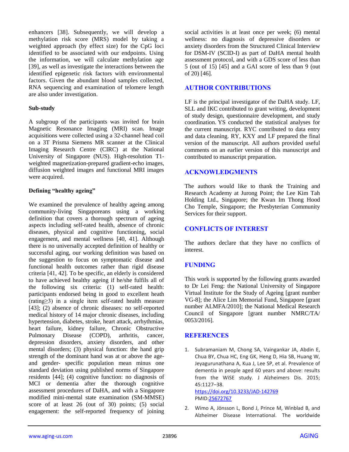enhancers [38]. Subsequently, we will develop a methylation risk score (MRS) model by taking a weighted approach (by effect size) for the CpG loci identified to be associated with our endpoints. Using the information, we will calculate methylation age [39], as well as investigate the interactions between the identified epigenetic risk factors with environmental factors. Given the abundant blood samples collected, RNA sequencing and examination of telomere length are also under investigation.

#### **Sub-study**

A subgroup of the participants was invited for brain Magnetic Resonance Imaging (MRI) scan. Image acquisitions were collected using a 32-channel head coil on a 3T Prisma Siemens MR scanner at the Clinical Imaging Research Centre (CIRC) at the National University of Singapore (NUS). High-resolution T1 weighted magnetization-prepared gradient-echo images, diffusion weighted images and functional MRI images were acquired.

#### **Defining "healthy ageing"**

We examined the prevalence of healthy ageing among community-living Singaporeans using a working definition that covers a thorough spectrum of ageing aspects including self-rated health, absence of chronic diseases, physical and cognitive functioning, social engagement, and mental wellness [40, 41]. Although there is no universally accepted definition of healthy or successful aging, our working definition was based on the suggestion to focus on symptomatic disease and functional health outcomes rather than rigid disease criteria [41, 42]. To be specific, an elderly is considered to have achieved healthy ageing if he/she fulfils all of the following six criteria: (1) self-rated health: participants endorsed being in good to excellent heath (rating≥3) in a single item self-rated health measure [43]; (2) absence of chronic diseases: no self-reported medical history of 14 major chronic diseases, including hypertension, diabetes, stroke, heart attack, arrhythmias, heart failure, kidney failure, Chronic Obstructive Pulmonary Disease (COPD), arthritis, cancer, depression disorders, anxiety disorders, and other mental disorders; (3) physical function: the hand grip strength of the dominant hand was at or above the ageand gender- specific population mean minus one standard deviation using published norms of Singapore residents [44]; (4) cognitive function: no diagnosis of MCI or dementia after the thorough cognitive assessment procedures of DaHA, and with a Singapore modified mini-mental state examination (SM-MMSE) score of at least 26 (out of 30) points; (5) social engagement: the self-reported frequency of joining

social activities is at least once per week; (6) mental wellness: no diagnosis of depressive disorders or anxiety disorders from the Structured Clinical Interview for DSM-IV (SCID-I) as part of DaHA mental health assessment protocol, and with a GDS score of less than 5 (out of 15) [45] and a GAI score of less than 9 (out of 20) [46].

## **AUTHOR CONTRIBUTIONS**

LF is the principal investigator of the DaHA study. LF, SLL and IKC contributed to grant writing, development of study design, questionnaire development, and study coordination. YS conducted the statistical analyses for the current manuscript. RYC contributed to data entry and data cleaning. RY, KXY and LF prepared the final version of the manuscript. All authors provided useful comments on an earlier version of this manuscript and contributed to manuscript preparation.

## **ACKNOWLEDGMENTS**

The authors would like to thank the Training and Research Academy at Jurong Point; the Lee Kim Tah Holding Ltd., Singapore; the Kwan Im Thong Hood Cho Temple, Singapore; the Presbyterian Community Services for their support.

## **CONFLICTS OF INTEREST**

The authors declare that they have no conflicts of interest.

# **FUNDING**

This work is supported by the following grants awarded to Dr Lei Feng: the National University of Singapore Virtual Institute for the Study of Ageing [grant number VG-8]; the Alice Lim Memorial Fund, Singapore [grant number ALMFA/2010]; the National Medical Research Council of Singapore [grant number NMRC/TA/ 0053/2016].

# **REFERENCES**

1. Subramaniam M, Chong SA, Vaingankar JA, Abdin E, Chua BY, Chua HC, Eng GK, Heng D, Hia SB, Huang W, Jeyagurunathana A, Kua J, Lee SP, et al. Prevalence of dementia in people aged 60 years and above: results from the WiSE study. J Alzheimers Dis. 2015; 45:1127–38. <https://doi.org/10.3233/JAD-142769>

PMI[D:25672767](https://pubmed.ncbi.nlm.nih.gov/25672767)

2. Wimo A, Jönsson L, Bond J, Prince M, Winblad B, and Alzheimer Disease International. The worldwide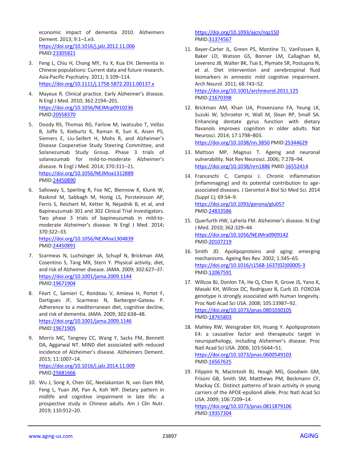economic impact of dementia 2010. Alzheimers Dement. 2013; 9:1–1.e3. <https://doi.org/10.1016/j.jalz.2012.11.006> PMID[:23305821](https://pubmed.ncbi.nlm.nih.gov/23305821)

- 3. Feng L, Chiu H, Chong MY, Yu X, Kua EH. Dementia in Chinese populations: Current data and future research. Asia‐Pacific Psychiatry. 2011; 3:109–114. <https://doi.org/10.1111/j.1758-5872.2011.00137.x>
- 4. Mayeux R. Clinical practice. Early Alzheimer's disease. N Engl J Med. 2010; 362:2194–201. <https://doi.org/10.1056/NEJMcp0910236> PMID[:20558370](https://pubmed.ncbi.nlm.nih.gov/20558370)
- 5. Doody RS, Thomas RG, Farlow M, Iwatsubo T, Vellas B, Joffe S, Kieburtz K, Raman R, Sun X, Aisen PS, Siemers E, Liu-Seifert H, Mohs R, and Alzheimer's Disease Cooperative Study Steering Committee, and Solanezumab Study Group. Phase 3 trials of solanezumab for mild-to-moderate Alzheimer's disease. N Engl J Med. 2014; 370:311–21. <https://doi.org/10.1056/NEJMoa1312889> PMID[:24450890](https://pubmed.ncbi.nlm.nih.gov/24450890)
- 6. Salloway S, Sperling R, Fox NC, Blennow K, Klunk W, Raskind M, Sabbagh M, Honig LS, Porsteinsson AP, Ferris S, Reichert M, Ketter N, Nejadnik B, et al, and Bapineuzumab 301 and 302 Clinical Trial Investigators. Two phase 3 trials of bapineuzumab in mild-tomoderate Alzheimer's disease. N Engl J Med. 2014; 370:322–33. <https://doi.org/10.1056/NEJMoa1304839>

PMID[:24450891](https://pubmed.ncbi.nlm.nih.gov/24450891)

- 7. Scarmeas N, Luchsinger JA, Schupf N, Brickman AM, Cosentino S, Tang MX, Stern Y. Physical activity, diet, and risk of Alzheimer disease. JAMA. 2009; 302:627–37. <https://doi.org/10.1001/jama.2009.1144> PMID[:19671904](https://pubmed.ncbi.nlm.nih.gov/19671904)
- 8. Féart C, Samieri C, Rondeau V, Amieva H, Portet F, Dartigues JF, Scarmeas N, Barberger-Gateau P. Adherence to a mediterranean diet, cognitive decline, and risk of dementia. JAMA. 2009; 302:638–48. <https://doi.org/10.1001/jama.2009.1146> PMID[:19671905](https://pubmed.ncbi.nlm.nih.gov/19671905)
- 9. Morris MC, Tangney CC, Wang Y, Sacks FM, Bennett DA, Aggarwal NT. MIND diet associated with reduced incidence of Alzheimer's disease. Alzheimers Dement. 2015; 11:1007–14. <https://doi.org/10.1016/j.jalz.2014.11.009> PMID[:25681666](https://pubmed.ncbi.nlm.nih.gov/25681666)
- 10. Wu J, Song X, Chen GC, Neelakantan N, van Dam RM, Feng L, Yuan JM, Pan A, Koh WP. Dietary pattern in midlife and cognitive impairment in late life: a prospective study in Chinese adults. Am J Clin Nutr. 2019; 110:912–20.

<https://doi.org/10.1093/ajcn/nqz150> PMI[D:31374567](https://pubmed.ncbi.nlm.nih.gov/31374567)

- 11. Bayer-Carter JL, Green PS, Montine TJ, VanFossen B, Baker LD, Watson GS, Bonner LM, Callaghan M, Leverenz JB, Walter BK, Tsai E, Plymate SR, Postupna N, et al. Diet intervention and cerebrospinal fluid biomarkers in amnestic mild cognitive impairment. Arch Neurol. 2011; 68:743–52. <https://doi.org/10.1001/archneurol.2011.125>
	- PMI[D:21670398](https://pubmed.ncbi.nlm.nih.gov/21670398)
- 12. Brickman AM, Khan UA, Provenzano FA, Yeung LK, Suzuki W, Schroeter H, Wall M, Sloan RP, Small SA. Enhancing dentate gyrus function with dietary flavanols improves cognition in older adults. Nat Neurosci. 2014; 17:1798–803. <https://doi.org/10.1038/nn.3850> PMID[:25344629](https://pubmed.ncbi.nlm.nih.gov/25344629)
- 13. Mattson MP, Magnus T. Ageing and neuronal vulnerability. Nat Rev Neurosci. 2006; 7:278–94. <https://doi.org/10.1038/nrn1886> PMID[:16552414](https://pubmed.ncbi.nlm.nih.gov/16552414)
- 14. Franceschi C, Campisi J. Chronic inflammation (inflammaging) and its potential contribution to ageassociated diseases. J Gerontol A Biol Sci Med Sci. 2014 (Suppl 1); 69:S4–9. <https://doi.org/10.1093/gerona/glu057> PMI[D:24833586](https://pubmed.ncbi.nlm.nih.gov/24833586)
- 15. Querfurth HW, LaFerla FM. Alzheimer's disease. N Engl J Med. 2010; 362:329–44. <https://doi.org/10.1056/NEJMra0909142> PMI[D:20107219](https://pubmed.ncbi.nlm.nih.gov/20107219)
- 16. Smith JD. Apolipoproteins and aging: emerging mechanisms. Ageing Res Rev. 2002; 1:345–65. [https://doi.org/10.1016/s1568-1637\(02\)00005-3](https://doi.org/10.1016/s1568-1637(02)00005-3) PMI[D:12067591](https://pubmed.ncbi.nlm.nih.gov/12067591)
- 17. Willcox BJ, Donlon TA, He Q, Chen R, Grove JS, Yano K, Masaki KH, Willcox DC, Rodriguez B, Curb JD. FOXO3A genotype is strongly associated with human longevity. Proc Natl Acad Sci USA. 2008; 105:13987–92. <https://doi.org/10.1073/pnas.0801030105> PMI[D:18765803](https://pubmed.ncbi.nlm.nih.gov/18765803)
- 18. Mahley RW, Weisgraber KH, Huang Y. Apolipoprotein E4: a causative factor and therapeutic target in neuropathology, including Alzheimer's disease. Proc Natl Acad Sci USA. 2006; 103:5644–51. <https://doi.org/10.1073/pnas.0600549103> PMI[D:16567625](https://pubmed.ncbi.nlm.nih.gov/16567625)
- 19. Filippini N, MacIntosh BJ, Hough MG, Goodwin GM, Frisoni GB, Smith SM, Matthews PM, Beckmann CF, Mackay CE. Distinct patterns of brain activity in young carriers of the APOE-epsilon4 allele. Proc Natl Acad Sci USA. 2009; 106:7209–14. <https://doi.org/10.1073/pnas.0811879106> PMI[D:19357304](https://pubmed.ncbi.nlm.nih.gov/19357304)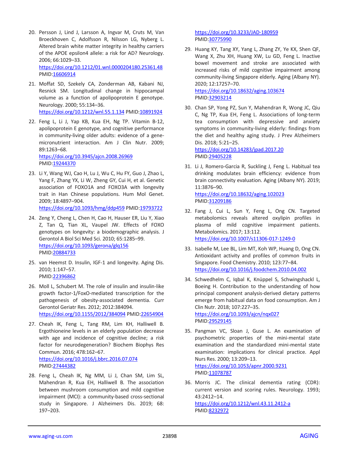- 20. Persson J, Lind J, Larsson A, Ingvar M, Cruts M, Van Broeckhoven C, Adolfsson R, Nilsson LG, Nyberg L. Altered brain white matter integrity in healthy carriers of the APOE epsilon4 allele: a risk for AD? Neurology. 2006; 66:1029–33. <https://doi.org/10.1212/01.wnl.0000204180.25361.48> PMID[:16606914](https://pubmed.ncbi.nlm.nih.gov/16606914)
- 21. Moffat SD, Szekely CA, Zonderman AB, Kabani NJ, Resnick SM. Longitudinal change in hippocampal volume as a function of apolipoprotein E genotype. Neurology. 2000; 55:134–36. <https://doi.org/10.1212/wnl.55.1.134> PMID[:10891924](https://pubmed.ncbi.nlm.nih.gov/10891924)
- 22. Feng L, Li J, Yap KB, Kua EH, Ng TP. Vitamin B-12, apolipoprotein E genotype, and cognitive performance in community-living older adults: evidence of a genemicronutrient interaction. Am J Clin Nutr. 2009; 89:1263–68. <https://doi.org/10.3945/ajcn.2008.26969> PMID[:19244370](https://pubmed.ncbi.nlm.nih.gov/19244370)
- 23. Li Y, Wang WJ, Cao H, Lu J, Wu C, Hu FY, Guo J, Zhao L, Yang F, Zhang YX, Li W, Zheng GY, Cui H, et al. Genetic association of FOXO1A and FOXO3A with longevity trait in Han Chinese populations. Hum Mol Genet. 2009; 18:4897–904. <https://doi.org/10.1093/hmg/ddp459> PMID[:19793722](https://pubmed.ncbi.nlm.nih.gov/19793722)
- 24. Zeng Y, Cheng L, Chen H, Cao H, Hauser ER, Liu Y, Xiao Z, Tan Q, Tian XL, Vaupel JW. Effects of FOXO genotypes on longevity: a biodemographic analysis. J Gerontol A Biol Sci Med Sci. 2010; 65:1285–99. <https://doi.org/10.1093/gerona/glq156> PMID[:20884733](https://pubmed.ncbi.nlm.nih.gov/20884733)
- 25. van Heemst D. Insulin, IGF-1 and longevity. Aging Dis. 2010; 1:147–57. PMID[:22396862](https://pubmed.ncbi.nlm.nih.gov/22396862)
- 26. Moll L, Schubert M. The role of insulin and insulin-like growth factor-1/FoxO-mediated transcription for the pathogenesis of obesity-associated dementia. Curr Gerontol Geriatr Res. 2012; 2012:384094. <https://doi.org/10.1155/2012/384094> PMID[:22654904](https://pubmed.ncbi.nlm.nih.gov/22654904)
- 27. Cheah IK, Feng L, Tang RM, Lim KH, Halliwell B. Ergothioneine levels in an elderly population decrease with age and incidence of cognitive decline; a risk factor for neurodegeneration? Biochem Biophys Res Commun. 2016; 478:162–67. <https://doi.org/10.1016/j.bbrc.2016.07.074> PMID[:27444382](https://pubmed.ncbi.nlm.nih.gov/27444382)
- 28. Feng L, Cheah IK, Ng MM, Li J, Chan SM, Lim SL, Mahendran R, Kua EH, Halliwell B. The association between mushroom consumption and mild cognitive impairment (MCI): a community-based cross-sectional study in Singapore. J Alzheimers Dis. 2019; 68: 197–203.

<https://doi.org/10.3233/JAD-180959> PMI[D:30775990](https://pubmed.ncbi.nlm.nih.gov/30775990)

29. Huang KY, Tang XY, Yang L, Zhang ZY, Ye KX, Shen QF, Wang X, Zhu XH, Huang XW, Lu GD, Feng L. Inactive bowel movement and stroke are associated with increased risks of mild cognitive impairment among community-living Singapore elderly. Aging (Albany NY). 2020; 12:17257–70.

<https://doi.org/10.18632/aging.103674> PMI[D:32903214](https://pubmed.ncbi.nlm.nih.gov/32903214)

30. Chan SP, Yong PZ, Sun Y, Mahendran R, Wong JC, Qiu C, Ng TP, Kua EH, Feng L. Associations of long-term tea consumption with depressive and anxiety symptoms in community-living elderly: findings from the diet and healthy aging study. J Prev Alzheimers Dis. 2018; 5:21–25.

<https://doi.org/10.14283/jpad.2017.20> PMI[D:29405228](https://pubmed.ncbi.nlm.nih.gov/29405228)

PMI[D:31209186](https://pubmed.ncbi.nlm.nih.gov/31209186)

- 31. Li J, Romero-Garcia R, Suckling J, Feng L. Habitual tea drinking modulates brain efficiency: evidence from brain connectivity evaluation. Aging (Albany NY). 2019; 11:3876–90. <https://doi.org/10.18632/aging.102023>
- 32. Fang J, Cui L, Sun Y, Feng L, Ong CN. Targeted metabolomics reveals altered oxylipin profiles in plasma of mild cognitive impairment patients. Metabolomics. 2017; 13:112. <https://doi.org/10.1007/s11306-017-1249-0>
- 33. Isabelle M, Lee BL, Lim MT, Koh WP, Huang D, Ong CN. Antioxidant activity and profiles of common fruits in Singapore. Food Chemistry. 2010; 123:77–84. <https://doi.org/10.1016/j.foodchem.2010.04.002>
- 34. Schwedhelm C, Iqbal K, Knüppel S, Schwingshackl L, Boeing H. Contribution to the understanding of how principal component analysis-derived dietary patterns emerge from habitual data on food consumption. Am J Clin Nutr. 2018; 107:227–35. <https://doi.org/10.1093/ajcn/nqx027> PMI[D:29529145](https://pubmed.ncbi.nlm.nih.gov/29529145)
- 35. Pangman VC, Sloan J, Guse L. An examination of psychometric properties of the mini-mental state examination and the standardized mini-mental state examination: implications for clinical practice. Appl Nurs Res. 2000; 13:209–13. <https://doi.org/10.1053/apnr.2000.9231> PMID: 1078787
- 36. Morris JC. The clinical dementia rating (CDR): current version and scoring rules. Neurology. 1993; 43:2412–14. <https://doi.org/10.1212/wnl.43.11.2412-a> PMI[D:8232972](https://pubmed.ncbi.nlm.nih.gov/8232972)